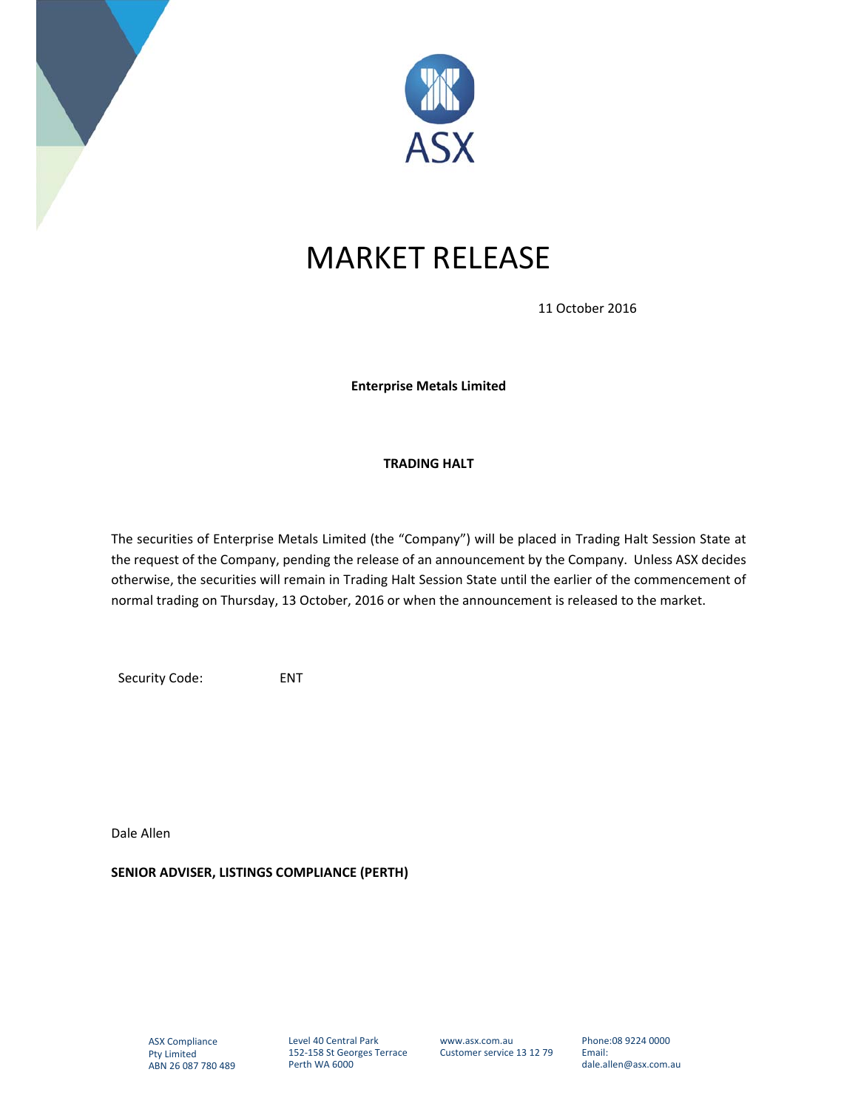



## MARKET RELEASE

11 October 2016

**Enterprise Metals Limited** 

## **TRADING HALT**

The securities of Enterprise Metals Limited (the "Company") will be placed in Trading Halt Session State at the request of the Company, pending the release of an announcement by the Company. Unless ASX decides otherwise, the securities will remain in Trading Halt Session State until the earlier of the commencement of normal trading on Thursday, 13 October, 2016 or when the announcement is released to the market.

Security Code: ENT

Dale Allen

**SENIOR ADVISER, LISTINGS COMPLIANCE (PERTH)**

Level 40 Central Park 152‐158 St Georges Terrace Perth WA 6000

Phone:08 9224 0000 Email: dale.allen@asx.com.au